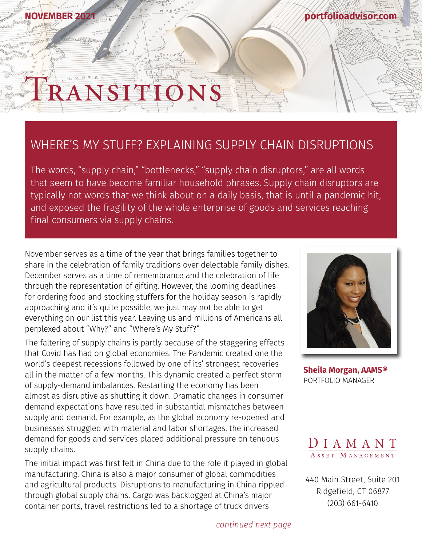# ANSITION

**NOVEMBER** 

#### WHERE'S MY STUFF? EXPLAINING SUPPLY CHAIN DISRUPTIONS

The words, "supply chain," "bottlenecks," "supply chain disruptors," are all words that seem to have become familiar household phrases. Supply chain disruptors are typically not words that we think about on a daily basis, that is until a pandemic hit, and exposed the fragility of the whole enterprise of goods and services reaching final consumers via supply chains.

November serves as a time of the year that brings families together to share in the celebration of family traditions over delectable family dishes. December serves as a time of remembrance and the celebration of life through the representation of gifting. However, the looming deadlines for ordering food and stocking stuffers for the holiday season is rapidly approaching and it's quite possible, we just may not be able to get everything on our list this year. Leaving us and millions of Americans all perplexed about "Why?" and "Where's My Stuff?"

The faltering of supply chains is partly because of the staggering effects that Covid has had on global economies. The Pandemic created one the world's deepest recessions followed by one of its' strongest recoveries all in the matter of a few months. This dynamic created a perfect storm of supply-demand imbalances. Restarting the economy has been almost as disruptive as shutting it down. Dramatic changes in consumer demand expectations have resulted in substantial mismatches between supply and demand. For example, as the global economy re-opened and businesses struggled with material and labor shortages, the increased demand for goods and services placed additional pressure on tenuous supply chains.

The initial impact was first felt in China due to the role it played in global manufacturing. China is also a major consumer of global commodities and agricultural products. Disruptions to manufacturing in China rippled through global supply chains. Cargo was backlogged at China's major container ports, travel restrictions led to a shortage of truck drivers



**[portfolioadvisor.com](http://portfolioadvisor.com)**

**[Sheila Morgan, AAMS®](http://portfolioadvisor.com/team)** PORTFOLIO MANAGER



[440 Main Street, Suite 201](http://www.portfolioadvisor.com) Ridgefield, CT 06877 (203) 661-6410

*continued next page*